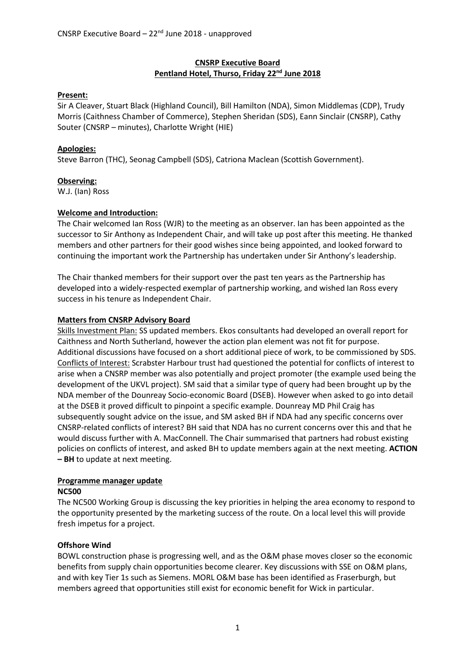# CNSRP Executive Board Pentland Hotel, Thurso, Friday 22<sup>nd</sup> June 2018

## Present:

Sir A Cleaver, Stuart Black (Highland Council), Bill Hamilton (NDA), Simon Middlemas (CDP), Trudy Morris (Caithness Chamber of Commerce), Stephen Sheridan (SDS), Eann Sinclair (CNSRP), Cathy Souter (CNSRP – minutes), Charlotte Wright (HIE)

## Apologies:

Steve Barron (THC), Seonag Campbell (SDS), Catriona Maclean (Scottish Government).

### Observing:

W.J. (Ian) Ross

### Welcome and Introduction:

The Chair welcomed Ian Ross (WJR) to the meeting as an observer. Ian has been appointed as the successor to Sir Anthony as Independent Chair, and will take up post after this meeting. He thanked members and other partners for their good wishes since being appointed, and looked forward to continuing the important work the Partnership has undertaken under Sir Anthony's leadership.

The Chair thanked members for their support over the past ten years as the Partnership has developed into a widely-respected exemplar of partnership working, and wished Ian Ross every success in his tenure as Independent Chair.

#### Matters from CNSRP Advisory Board

Skills Investment Plan: SS updated members. Ekos consultants had developed an overall report for Caithness and North Sutherland, however the action plan element was not fit for purpose. Additional discussions have focused on a short additional piece of work, to be commissioned by SDS. Conflicts of Interest: Scrabster Harbour trust had questioned the potential for conflicts of interest to arise when a CNSRP member was also potentially and project promoter (the example used being the development of the UKVL project). SM said that a similar type of query had been brought up by the NDA member of the Dounreay Socio-economic Board (DSEB). However when asked to go into detail at the DSEB it proved difficult to pinpoint a specific example. Dounreay MD Phil Craig has subsequently sought advice on the issue, and SM asked BH if NDA had any specific concerns over CNSRP-related conflicts of interest? BH said that NDA has no current concerns over this and that he would discuss further with A. MacConnell. The Chair summarised that partners had robust existing policies on conflicts of interest, and asked BH to update members again at the next meeting. ACTION - BH to update at next meeting.

# Programme manager update

#### NC500

The NC500 Working Group is discussing the key priorities in helping the area economy to respond to the opportunity presented by the marketing success of the route. On a local level this will provide fresh impetus for a project.

# Offshore Wind

BOWL construction phase is progressing well, and as the O&M phase moves closer so the economic benefits from supply chain opportunities become clearer. Key discussions with SSE on O&M plans, and with key Tier 1s such as Siemens. MORL O&M base has been identified as Fraserburgh, but members agreed that opportunities still exist for economic benefit for Wick in particular.